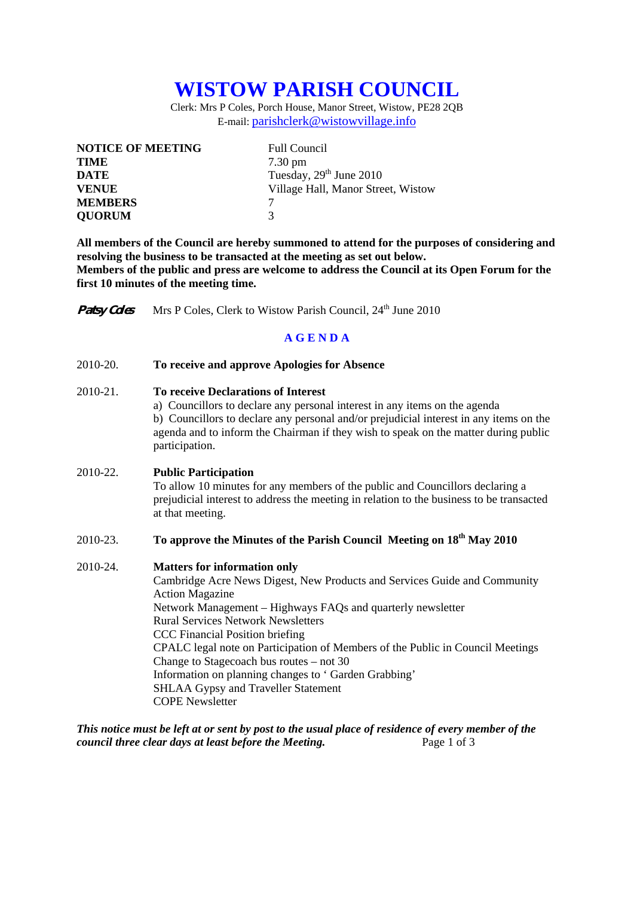# **WISTOW PARISH COUNCIL**

Clerk: Mrs P Coles, Porch House, Manor Street, Wistow, PE28 2QB E-mail: parishclerk@wistowvillage.info

| <b>NOTICE OF MEETING</b> | <b>Full Council</b>                |
|--------------------------|------------------------------------|
| <b>TIME</b>              | $7.30 \text{ pm}$                  |
| <b>DATE</b>              | Tuesday, $29th$ June 2010          |
| <b>VENUE</b>             | Village Hall, Manor Street, Wistow |
| <b>MEMBERS</b>           |                                    |
| <b>QUORUM</b>            | 3                                  |

**All members of the Council are hereby summoned to attend for the purposes of considering and resolving the business to be transacted at the meeting as set out below. Members of the public and press are welcome to address the Council at its Open Forum for the first 10 minutes of the meeting time.** 

**Patsy Coles** Mrs P Coles, Clerk to Wistow Parish Council, 24<sup>th</sup> June 2010

## **A G E N D A**

#### 2010-20. **To receive and approve Apologies for Absence**

#### 2010-21. **To receive Declarations of Interest**

 a) Councillors to declare any personal interest in any items on the agenda b) Councillors to declare any personal and/or prejudicial interest in any items on the agenda and to inform the Chairman if they wish to speak on the matter during public participation.

### 2010-22. **Public Participation**

To allow 10 minutes for any members of the public and Councillors declaring a prejudicial interest to address the meeting in relation to the business to be transacted at that meeting.

# 2010-23. **To approve the Minutes of the Parish Council Meeting on 18th May 2010**

#### 2010-24. **Matters for information only**

Cambridge Acre News Digest, New Products and Services Guide and Community Action Magazine Network Management – Highways FAQs and quarterly newsletter Rural Services Network Newsletters CCC Financial Position briefing CPALC legal note on Participation of Members of the Public in Council Meetings Change to Stagecoach bus routes – not 30 Information on planning changes to ' Garden Grabbing' SHLAA Gypsy and Traveller StatementCOPE Newsletter

*This notice must be left at or sent by post to the usual place of residence of every member of the council three clear days at least before the Meeting.* Page 1 of 3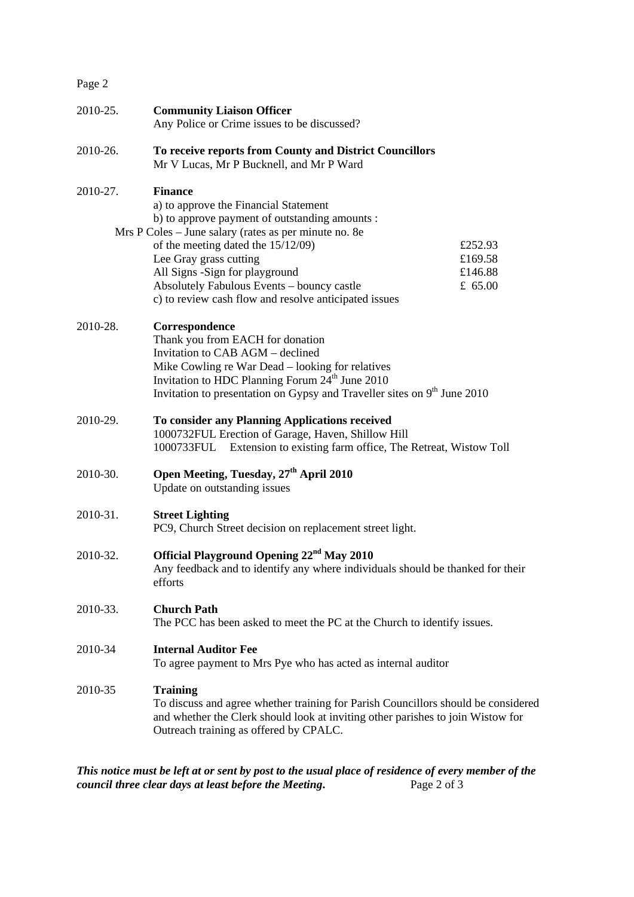| Page 2   |                                                                                                                                                                                                                                                                                                                                                                             |                                            |
|----------|-----------------------------------------------------------------------------------------------------------------------------------------------------------------------------------------------------------------------------------------------------------------------------------------------------------------------------------------------------------------------------|--------------------------------------------|
| 2010-25. | <b>Community Liaison Officer</b><br>Any Police or Crime issues to be discussed?                                                                                                                                                                                                                                                                                             |                                            |
| 2010-26. | To receive reports from County and District Councillors<br>Mr V Lucas, Mr P Bucknell, and Mr P Ward                                                                                                                                                                                                                                                                         |                                            |
| 2010-27. | <b>Finance</b><br>a) to approve the Financial Statement<br>b) to approve payment of outstanding amounts :<br>Mrs P Coles - June salary (rates as per minute no. 8e<br>of the meeting dated the 15/12/09)<br>Lee Gray grass cutting<br>All Signs -Sign for playground<br>Absolutely Fabulous Events - bouncy castle<br>c) to review cash flow and resolve anticipated issues | £252.93<br>£169.58<br>£146.88<br>£ $65.00$ |
| 2010-28. | Correspondence<br>Thank you from EACH for donation<br>Invitation to CAB AGM - declined<br>Mike Cowling re War Dead – looking for relatives<br>Invitation to HDC Planning Forum 24 <sup>th</sup> June 2010<br>Invitation to presentation on Gypsy and Traveller sites on 9 <sup>th</sup> June 2010                                                                           |                                            |
| 2010-29. | To consider any Planning Applications received<br>1000732FUL Erection of Garage, Haven, Shillow Hill<br>Extension to existing farm office, The Retreat, Wistow Toll<br>1000733FUL                                                                                                                                                                                           |                                            |
| 2010-30. | Open Meeting, Tuesday, 27 <sup>th</sup> April 2010<br>Update on outstanding issues                                                                                                                                                                                                                                                                                          |                                            |
| 2010-31. | <b>Street Lighting</b><br>PC9, Church Street decision on replacement street light.                                                                                                                                                                                                                                                                                          |                                            |
| 2010-32. | Official Playground Opening 22 <sup>nd</sup> May 2010<br>Any feedback and to identify any where individuals should be thanked for their<br>efforts                                                                                                                                                                                                                          |                                            |
| 2010-33. | <b>Church Path</b><br>The PCC has been asked to meet the PC at the Church to identify issues.                                                                                                                                                                                                                                                                               |                                            |
| 2010-34  | <b>Internal Auditor Fee</b><br>To agree payment to Mrs Pye who has acted as internal auditor                                                                                                                                                                                                                                                                                |                                            |
| 2010-35  | <b>Training</b><br>To discuss and agree whether training for Parish Councillors should be considered<br>and whether the Clerk should look at inviting other parishes to join Wistow for<br>Outreach training as offered by CPALC.                                                                                                                                           |                                            |

*This notice must be left at or sent by post to the usual place of residence of every member of the council three clear days at least before the Meeting.* Page 2 of 3